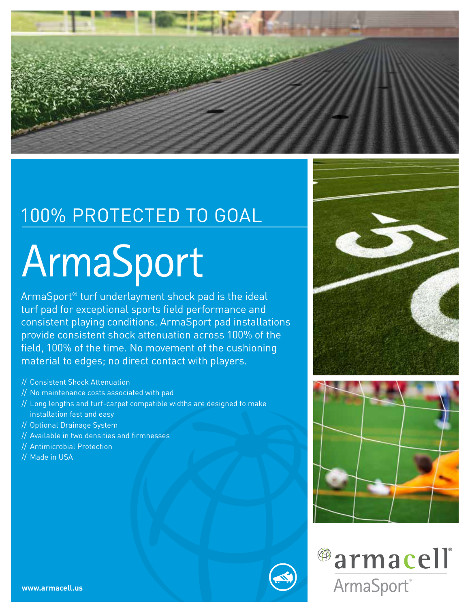

## 100% PROTECTED TO GOAL

# ArmaSport

ArmaSport® turf underlayment shock pad is the ideal turf pad for exceptional sports field performance and consistent playing conditions. ArmaSport pad installations provide consistent shock attenuation across 100% of the field, 100% of the time. No movement of the cushioning material to edges; no direct contact with players.

- // Consistent Shock Attenuation
- // No maintenance costs associated with pad
- // Long lengths and turf-carpet compatible widths are designed to make installation fast and easy
- // Optional Drainage System
- // Available in two densities and firmnesses
- // Antimicrobial Protection
- // Made in USA